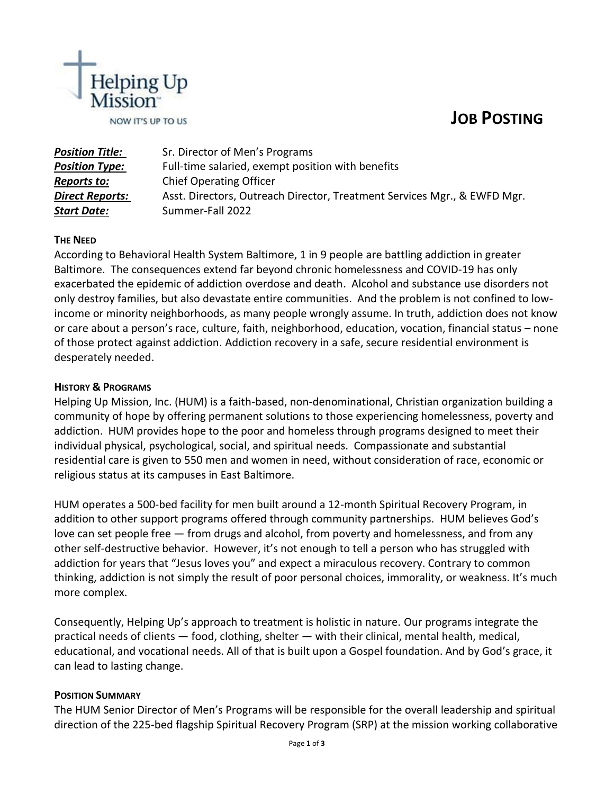# **JOB POSTING**



| <b>Position Title:</b> | Sr. Director of Men's Programs                                           |
|------------------------|--------------------------------------------------------------------------|
| <b>Position Type:</b>  | Full-time salaried, exempt position with benefits                        |
| <b>Reports to:</b>     | <b>Chief Operating Officer</b>                                           |
| <b>Direct Reports:</b> | Asst. Directors, Outreach Director, Treatment Services Mgr., & EWFD Mgr. |
| <b>Start Date:</b>     | Summer-Fall 2022                                                         |

## **THE NEED**

According to Behavioral Health System Baltimore, 1 in 9 people are battling addiction in greater Baltimore. The consequences extend far beyond chronic homelessness and COVID-19 has only exacerbated the epidemic of addiction overdose and death. Alcohol and substance use disorders not only destroy families, but also devastate entire communities. And the problem is not confined to lowincome or minority neighborhoods, as many people wrongly assume. In truth, addiction does not know or care about a person's race, culture, faith, neighborhood, education, vocation, financial status – none of those protect against addiction. Addiction recovery in a safe, secure residential environment is desperately needed.

## **HISTORY & PROGRAMS**

Helping Up Mission, Inc. (HUM) is a faith-based, non-denominational, Christian organization building a community of hope by offering permanent solutions to those experiencing homelessness, poverty and addiction. HUM provides hope to the poor and homeless through programs designed to meet their individual physical, psychological, social, and spiritual needs. Compassionate and substantial residential care is given to 550 men and women in need, without consideration of race, economic or religious status at its campuses in East Baltimore.

HUM operates a 500-bed facility for men built around a 12-month Spiritual Recovery Program, in addition to other support programs offered through community partnerships. HUM believes God's love can set people free — from drugs and alcohol, from poverty and homelessness, and from any other self-destructive behavior. However, it's not enough to tell a person who has struggled with addiction for years that "Jesus loves you" and expect a miraculous recovery. Contrary to common thinking, addiction is not simply the result of poor personal choices, immorality, or weakness. It's much more complex.

Consequently, Helping Up's approach to treatment is holistic in nature. Our programs integrate the practical needs of clients — food, clothing, shelter — with their clinical, mental health, medical, educational, and vocational needs. All of that is built upon a Gospel foundation. And by God's grace, it can lead to lasting change.

#### **POSITION SUMMARY**

The HUM Senior Director of Men's Programs will be responsible for the overall leadership and spiritual direction of the 225-bed flagship Spiritual Recovery Program (SRP) at the mission working collaborative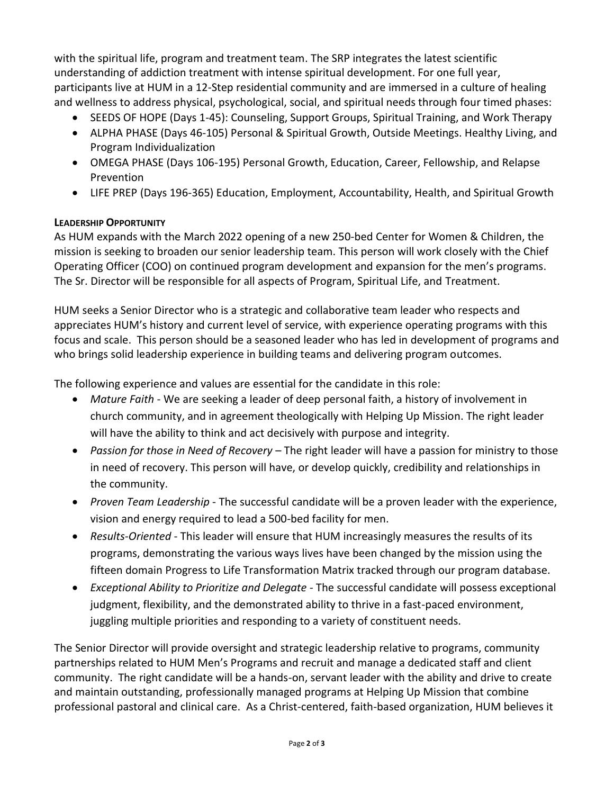with the spiritual life, program and treatment team. The SRP integrates the latest scientific understanding of addiction treatment with intense spiritual development. For one full year, participants live at HUM in a 12-Step residential community and are immersed in a culture of healing and wellness to address physical, psychological, social, and spiritual needs through four timed phases:

- SEEDS OF HOPE (Days 1-45): Counseling, Support Groups, Spiritual Training, and Work Therapy
- ALPHA PHASE (Days 46-105) Personal & Spiritual Growth, Outside Meetings. Healthy Living, and Program Individualization
- OMEGA PHASE (Days 106-195) Personal Growth, Education, Career, Fellowship, and Relapse Prevention
- LIFE PREP (Days 196-365) Education, Employment, Accountability, Health, and Spiritual Growth

# **LEADERSHIP OPPORTUNITY**

As HUM expands with the March 2022 opening of a new 250-bed Center for Women & Children, the mission is seeking to broaden our senior leadership team. This person will work closely with the Chief Operating Officer (COO) on continued program development and expansion for the men's programs. The Sr. Director will be responsible for all aspects of Program, Spiritual Life, and Treatment.

HUM seeks a Senior Director who is a strategic and collaborative team leader who respects and appreciates HUM's history and current level of service, with experience operating programs with this focus and scale. This person should be a seasoned leader who has led in development of programs and who brings solid leadership experience in building teams and delivering program outcomes.

The following experience and values are essential for the candidate in this role:

- *Mature Faith* We are seeking a leader of deep personal faith, a history of involvement in church community, and in agreement theologically with Helping Up Mission. The right leader will have the ability to think and act decisively with purpose and integrity.
- *Passion for those in Need of Recovery* The right leader will have a passion for ministry to those in need of recovery. This person will have, or develop quickly, credibility and relationships in the community.
- *Proven Team Leadership* The successful candidate will be a proven leader with the experience, vision and energy required to lead a 500-bed facility for men.
- *Results-Oriented* This leader will ensure that HUM increasingly measures the results of its programs, demonstrating the various ways lives have been changed by the mission using the fifteen domain Progress to Life Transformation Matrix tracked through our program database.
- *Exceptional Ability to Prioritize and Delegate -* The successful candidate will possess exceptional judgment, flexibility, and the demonstrated ability to thrive in a fast-paced environment, juggling multiple priorities and responding to a variety of constituent needs.

The Senior Director will provide oversight and strategic leadership relative to programs, community partnerships related to HUM Men's Programs and recruit and manage a dedicated staff and client community. The right candidate will be a hands-on, servant leader with the ability and drive to create and maintain outstanding, professionally managed programs at Helping Up Mission that combine professional pastoral and clinical care. As a Christ-centered, faith-based organization, HUM believes it